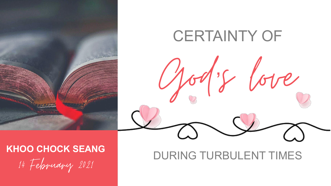

# God's love CERTAINTY OF

#### **KHOO CHOCK SEANG**

### $14$  February  $2021$  DURING TURBULENT TIMES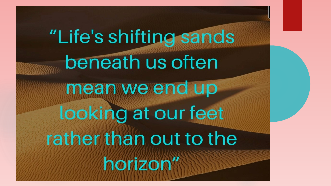## "Life's shifting sands" beneath us often mean we end up looking at our feet rather than out to the horizon"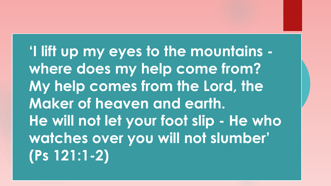**'I lift up my eyes to the mountains where does my help come from? My help comes from the Lord, the Maker of heaven and earth. He will not let your foot slip - He who watches over you will not slumber' (Ps 121:1-2)**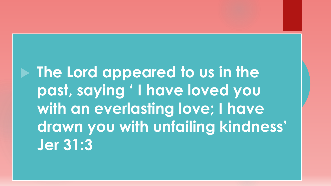**FREET Lord appeared to us in the past, saying ' I have loved you with an everlasting love; I have drawn you with unfailing kindness' Jer 31:3**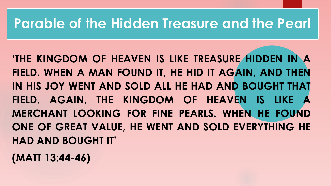#### **Parable of the Hidden Treasure and the Pearl**

**'THE KINGDOM OF HEAVEN IS LIKE TREASURE HIDDEN IN A FIELD. WHEN A MAN FOUND IT, HE HID IT AGAIN, AND THEN IN HIS JOY WENT AND SOLD ALL HE HAD AND BOUGHT THAT FIELD. AGAIN, THE KINGDOM OF HEAVEN IS LIKE A MERCHANT LOOKING FOR FINE PEARLS. WHEN HE FOUND ONE OF GREAT VALUE, HE WENT AND SOLD EVERYTHING HE HAD AND BOUGHT IT'**

**(MATT 13:44-46)**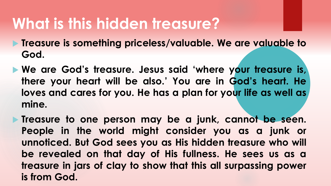#### **What is this hidden treasure?**

- **Treasure is something priceless/valuable. We are valuable to God.**
- **We are God's treasure. Jesus said 'where your treasure is, there your heart will be also.' You are in God's heart. He loves and cares for you. He has a plan for your life as well as mine.**
- **Treasure to one person may be a junk, cannot be seen. People in the world might consider you as a junk or unnoticed. But God sees you as His hidden treasure who will be revealed on that day of His fullness. He sees us as a treasure in jars of clay to show that this all surpassing power is from God.**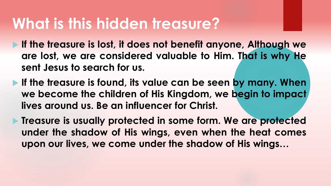#### **What is this hidden treasure?**

- **If the treasure is lost, it does not benefit anyone, Although we are lost, we are considered valuable to Him. That is why He sent Jesus to search for us.**
- **If the treasure is found, its value can be seen by many. When we become the children of His Kingdom, we begin to impact lives around us. Be an influencer for Christ.**
- **Treasure is usually protected in some form. We are protected under the shadow of His wings, even when the heat comes upon our lives, we come under the shadow of His wings…**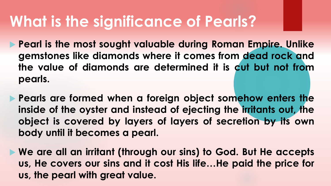#### **What is the significance of Pearls?**

 **Pearl is the most sought valuable during Roman Empire. Unlike gemstones like diamonds where it comes from dead rock and the value of diamonds are determined it is cut but not from pearls.**

 **Pearls are formed when a foreign object somehow enters the inside of the oyster and instead of ejecting the irritants out, the object is covered by layers of layers of secretion by its own body until it becomes a pearl.**

 **We are all an irritant (through our sins) to God. But He accepts us, He covers our sins and it cost His life…He paid the price for us, the pearl with great value.**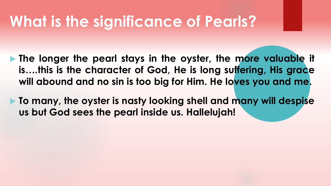#### **What is the significance of Pearls?**

- **The longer the pearl stays in the oyster, the more valuable it is….this is the character of God, He is long suffering, His grace will abound and no sin is too big for Him. He loves you and me.**
- **To many, the oyster is nasty looking shell and many will despise us but God sees the pearl inside us. Hallelujah!**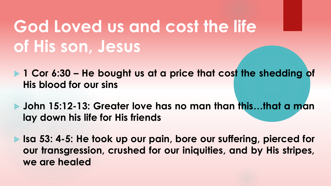### **God Loved us and cost the life of His son, Jesus**

 **1 Cor 6:30 – He bought us at a price that cost the shedding of His blood for our sins**

 **John 15:12-13: Greater love has no man than this…that a man lay down his life for His friends**

 **Isa 53: 4-5: He took up our pain, bore our suffering, pierced for our transgression, crushed for our iniquities, and by His stripes, we are healed**